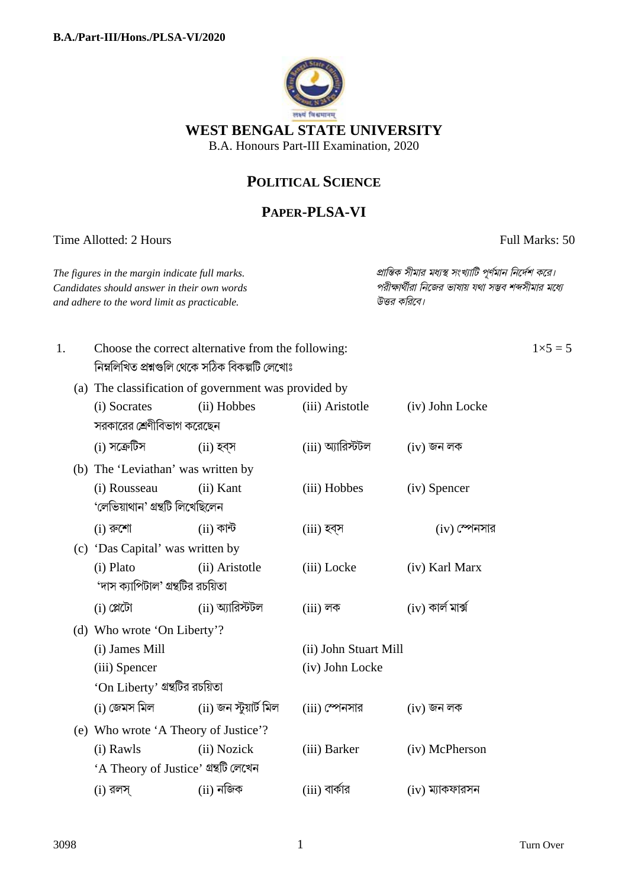

# WEST BENGAL STATE UNIVERSITY

B.A. Honours Part-III Examination, 2020

# POLITICAL SCIENCE

# PAPER-PLSA-VI

Time Allotted: 2 Hours

Full Marks: 50

The figures in the margin indicate full marks. Candidates should answer in their own words and adhere to the word limit as practicable.

প্রান্তিক সীমার মধ্যস্থ সংখ্যাটি পূর্ণমান নির্দেশ করে। পরীক্ষার্থীরা নিজের ভাষায় যথা সম্ভব শব্দসীমার মধ্যে উত্তর করিবে।

 $1\times 5=5$ 

| 1. |  | Choose the correct alternative from the following:<br>নিম্নলিখিত প্ৰশ্নগুলি থেকে সঠিক বিকল্পটি লেখোঃ |                        |                       |                      |
|----|--|------------------------------------------------------------------------------------------------------|------------------------|-----------------------|----------------------|
|    |  | (a) The classification of government was provided by                                                 |                        |                       |                      |
|    |  |                                                                                                      |                        |                       |                      |
|    |  | (i) Socrates                                                                                         | (ii) Hobbes            | (iii) Aristotle       | (iv) John Locke      |
|    |  | সরকারের শ্রেণীবিভাগ করেছেন                                                                           |                        |                       |                      |
|    |  | (i) সক্ৰেটিস                                                                                         | $(ii)$ হব্স            | (iii) অ্যারিস্টটল     | $(iv)$ জন লক         |
|    |  | (b) The 'Leviathan' was written by                                                                   |                        |                       |                      |
|    |  | (i) Rousseau                                                                                         | (ii) Kant              | (iii) Hobbes          | (iv) Spencer         |
|    |  | 'লেভিয়াথান' গ্ৰন্থটি লিখেছিলেন                                                                      |                        |                       |                      |
|    |  | $(i)$ রুশো                                                                                           | $(ii)$ কান্ট           | (iii) হব্স            | $(iv)$ স্পেনসার      |
|    |  | (c) 'Das Capital' was written by                                                                     |                        |                       |                      |
|    |  | (i) Plato                                                                                            | (ii) Aristotle         | (iii) Locke           | (iv) Karl Marx       |
|    |  | 'দাস ক্যাপিটাল' গ্রন্থটির রচয়িতা                                                                    |                        |                       |                      |
|    |  | $(i)$ প্লেটো                                                                                         | (ii) অ্যারিস্টটল       | $(iii)$ লক            | $(iv)$ কাৰ্ল মাৰ্ক্স |
|    |  | (d) Who wrote 'On Liberty'?                                                                          |                        |                       |                      |
|    |  | (i) James Mill                                                                                       |                        | (ii) John Stuart Mill |                      |
|    |  | (iii) Spencer                                                                                        |                        | (iv) John Locke       |                      |
|    |  | 'On Liberty' গ্রন্থটির রচয়িতা                                                                       |                        |                       |                      |
|    |  | (i) জেমস মিল                                                                                         | (ii) জন স্টুয়ার্ট মিল | $(iii)$ স্পেনসার      | $(iv)$ জন লক         |
|    |  | (e) Who wrote 'A Theory of Justice'?                                                                 |                        |                       |                      |
|    |  | (i) Rawls                                                                                            | (ii) Nozick            | (iii) Barker          | (iv) McPherson       |
|    |  | 'A Theory of Justice' গ্ৰন্থটি লেখেন                                                                 |                        |                       |                      |
|    |  | $(i)$ রলস্                                                                                           | $(ii)$ নজিক            | (iii) বার্কার         | $(iv)$ ম্যাকফারসন    |
|    |  |                                                                                                      |                        |                       |                      |
|    |  |                                                                                                      |                        |                       |                      |
|    |  |                                                                                                      |                        |                       |                      |

 $\mathbf{1}$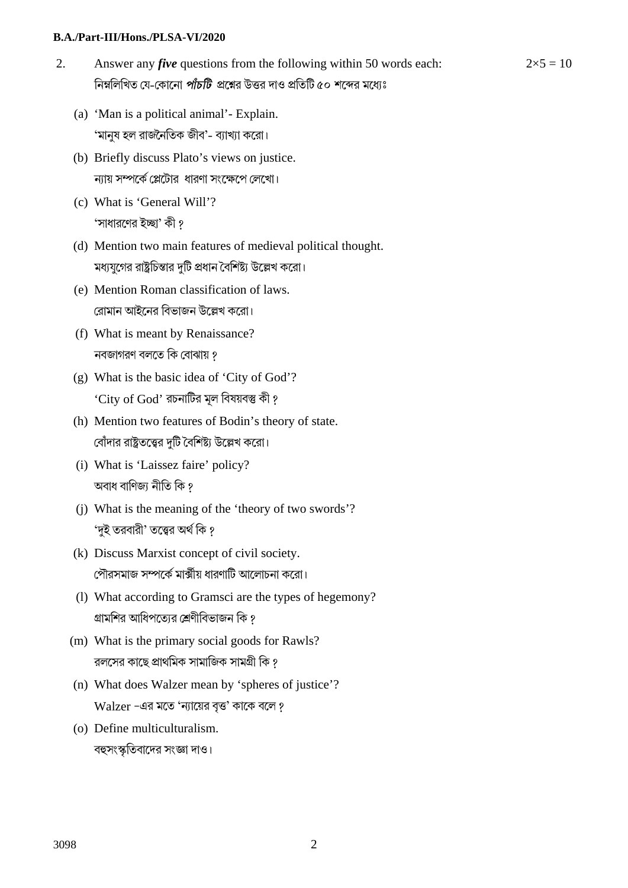#### **B.A./Part-III/Hons./PLSA-VI/2020**

2. Answer any *five* questions from the following within 50 words each: নিম্নলিখিত যে-কোনো *পাঁচটি প্র*শ্নের উত্তর দাও প্রতিটি ৫০ শব্দের মধ্যেঃ

 $2\times 5 = 10$ 

- (a) 'Man is a political animal'- Explain. 'মানুষ হল রাজৈনিতক জীব'- বয্াখয্া কেরা।
- (b) Briefly discuss Plato's views on justice. ন্যায় সম্পর্কে প্লেটোর ধারণা সংক্ষেপে লেখো।
- (c) What is 'General Will'? 'সাধারণের ইচ্ছা' কী ?
- (d) Mention two main features of medieval political thought. মধ্যযুগের রাষ্ট্রচিন্তার দুটি প্রধান বৈশিষ্ট্য উল্লেখ করো।
- (e) Mention Roman classification of laws. রোমান আইনের বিভাজন উল্লেখ করো।
- (f) What is meant by Renaissance? নবজাগরণ বলতে কি বোঝায় ?
- (g) What is the basic idea of 'City of God'? 'City of God' রচনাটির মূল বিষয়বস্তু কী ?
- (h) Mention two features of Bodin's theory of state. বোঁদার রাষ্ট্রতত্ত্বের দুটি বৈশিষ্ট্য উল্লেখ করো।
- (i) What is 'Laissez faire' policy? অবাধ বাণিজ্য নীতি কি ?
- (j) What is the meaning of the 'theory of two swords'? 'দুই তরবারী' তত্ত্বের অর্থ কি ?
- (k) Discuss Marxist concept of civil society. পৌরসমাজ সম্পর্কে মার্ক্সীয় ধারণাটি আলোচনা করো।
- (l) What according to Gramsci are the types of hegemony? গ্রামশির আধিপত্যের শ্রেণীবিভাজন কি ?
- (m) What is the primary social goods for Rawls? রলসের কাছে প্রাথমিক সামাজিক সামগ্রী কি ?
- (n) What does Walzer mean by 'spheres of justice'? Walzer -এর মতে 'ন্যায়ের বৃত্ত' কাকে বলে ?
- (o) Define multiculturalism. বহুসংস্কৃতিবাদের সংজ্ঞা দাও।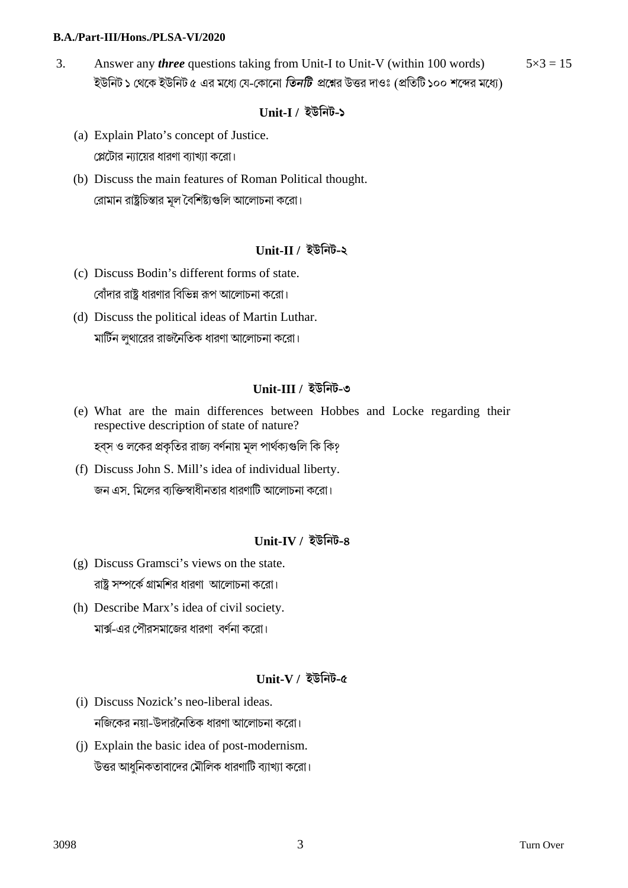#### **B.A./Part-III/Hons./PLSA-VI/2020**

3. Answer any *three* questions taking from Unit-I to Unit-V (within 100 words) ইউনিট ১ থেকে ইউনিট ৫ এর মধ্যে যে-কোনো *তিনটি* প্রশ্নের উত্তর দাওঃ (প্রতিটি ১০০ শব্দের মধ্যে)  $5 \times 3 = 15$ 

#### **Unit-I / ইউিনট-১**

- (a) Explain Plato's concept of Justice. প্লেটোর ন্যায়ের ধারণা ব্যাখ্যা করো।
- (b) Discuss the main features of Roman Political thought. রোমান রাষ্ট্রচিন্তার মূল বৈশিষ্ট্যগুলি আলোচনা করো।

## **Unit-II / ইউিনট-২**

- (c) Discuss Bodin's different forms of state. বোঁদার রাষ্ট্র ধারণার বিভিন্ন রূপ আলোচনা করো।
- (d) Discuss the political ideas of Martin Luthar. মািটন লুথােরর রাজৈনিতক ধারণা আেলাচনা কেরা।

## **Unit-III / ইউিনট-৩**

- (e) What are the main differences between Hobbes and Locke regarding their respective description of state of nature? হবস ও লকের প্রকৃতির রাজ্য বর্ণনায় মল পার্থক্যগুলি কি কি?
- (f) Discuss John S. Mill's idea of individual liberty. জন এস. মিলের ব্যক্তিস্বাধীনতার ধারণাটি আলোচনা করো।

# **Unit-IV / ইউিনট-৪**

- (g) Discuss Gramsci's views on the state. রাষ্ট্র সম্পর্কে গ্রামশির ধারণা আলোচনা করো।
- (h) Describe Marx's idea of civil society. মার্ক্স-এর পৌরসমাজের ধারণা বর্ণনা করো।

# **Unit-V / ইউিনট-৫**

- (i) Discuss Nozick's neo-liberal ideas. নিজেকর নয়া-উদারৈনিতক ধারণা আেলাচনা কেরা।
- (j) Explain the basic idea of post-modernism. উত্তর আধুনিকতাবাদের মৌলিক ধারণাটি ব্যাখ্যা করো।